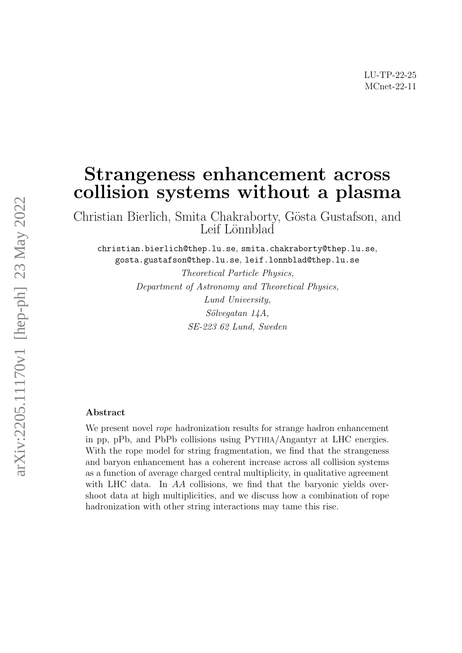## Strangeness enhancement across collision systems without a plasma

Christian Bierlich, Smita Chakraborty, Gösta Gustafson, and Leif Lönnblad

christian.bierlich@thep.lu.se, smita.chakraborty@thep.lu.se, gosta.gustafson@thep.lu.se, leif.lonnblad@thep.lu.se

> Theoretical Particle Physics, Department of Astronomy and Theoretical Physics, Lund University,  $Sölveqatan 14A,$ SE-223 62 Lund, Sweden

## Abstract

We present novel *rope* hadronization results for strange hadron enhancement in pp, pPb, and PbPb collisions using PYTHIA/Angantyr at LHC energies. With the rope model for string fragmentation, we find that the strangeness and baryon enhancement has a coherent increase across all collision systems as a function of average charged central multiplicity, in qualitative agreement with LHC data. In AA collisions, we find that the baryonic yields overshoot data at high multiplicities, and we discuss how a combination of rope hadronization with other string interactions may tame this rise.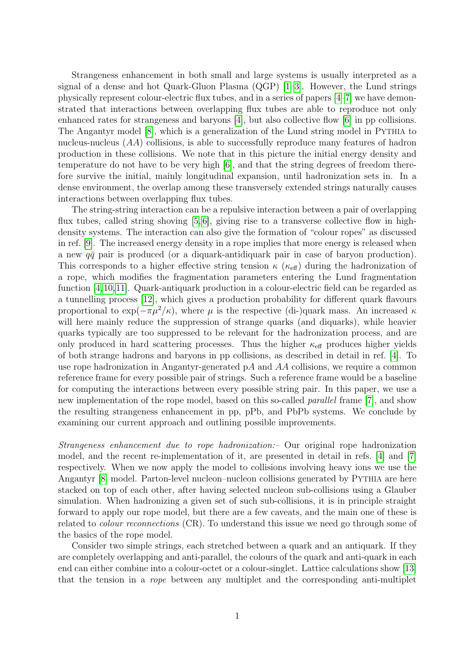Strangeness enhancement in both small and large systems is usually interpreted as a signal of a dense and hot Quark-Gluon Plasma  $(QGP)$  [\[1–](#page-7-0)[3\]](#page-7-1). However, the Lund strings physically represent colour-electric flux tubes, and in a series of papers [\[4–](#page-7-2)[7\]](#page-8-0) we have demonstrated that interactions between overlapping flux tubes are able to reproduce not only enhanced rates for strangeness and baryons [\[4\]](#page-7-2), but also collective flow [\[6\]](#page-8-1) in pp collisions. The Angantyr model [\[8\]](#page-8-2), which is a generalization of the Lund string model in PYTHIA to nucleus-nucleus (AA) collisions, is able to successfully reproduce many features of hadron production in these collisions. We note that in this picture the initial energy density and temperature do not have to be very high [\[6\]](#page-8-1), and that the string degrees of freedom therefore survive the initial, mainly longitudinal expansion, until hadronization sets in. In a dense environment, the overlap among these transversely extended strings naturally causes interactions between overlapping flux tubes.

The string-string interaction can be a repulsive interaction between a pair of overlapping flux tubes, called string shoving [\[5,](#page-7-3) [6\]](#page-8-1), giving rise to a transverse collective flow in highdensity systems. The interaction can also give the formation of "colour ropes" as discussed in ref. [\[9\]](#page-8-3). The increased energy density in a rope implies that more energy is released when a new  $q\bar{q}$  pair is produced (or a diquark-antidiquark pair in case of baryon production). This corresponds to a higher effective string tension  $\kappa$  ( $\kappa_{\text{eff}}$ ) during the hadronization of a rope, which modifies the fragmentation parameters entering the Lund fragmentation function [\[4,](#page-7-2)[10,](#page-8-4)[11\]](#page-8-5). Quark-antiquark production in a colour-electric field can be regarded as a tunnelling process [\[12\]](#page-8-6), which gives a production probability for different quark flavours proportional to  $\exp(-\pi \mu^2/\kappa)$ , where  $\mu$  is the respective (di-)quark mass. An increased  $\kappa$ will here mainly reduce the suppression of strange quarks (and diquarks), while heavier quarks typically are too suppressed to be relevant for the hadronization process, and are only produced in hard scattering processes. Thus the higher  $\kappa_{\text{eff}}$  produces higher yields of both strange hadrons and baryons in pp collisions, as described in detail in ref. [\[4\]](#page-7-2). To use rope hadronization in Angantyr-generated  $pA$  and  $AA$  collisions, we require a common reference frame for every possible pair of strings. Such a reference frame would be a baseline for computing the interactions between every possible string pair. In this paper, we use a new implementation of the rope model, based on this so-called parallel frame [\[7\]](#page-8-0), and show the resulting strangeness enhancement in pp, pPb, and PbPb systems. We conclude by examining our current approach and outlining possible improvements.

Strangeness enhancement due to rope hadronization:– Our original rope hadronization model, and the recent re-implementation of it, are presented in detail in refs. [\[4\]](#page-7-2) and [\[7\]](#page-8-0) respectively. When we now apply the model to collisions involving heavy ions we use the Angantyr [\[8\]](#page-8-2) model. Parton-level nucleon–nucleon collisions generated by PYTHIA are here stacked on top of each other, after having selected nucleon sub-collisions using a Glauber simulation. When hadronizing a given set of such sub-collisions, it is in principle straight forward to apply our rope model, but there are a few caveats, and the main one of these is related to *colour reconnections* (CR). To understand this issue we need go through some of the basics of the rope model.

Consider two simple strings, each stretched between a quark and an antiquark. If they are completely overlapping and anti-parallel, the colours of the quark and anti-quark in each end can either combine into a colour-octet or a colour-singlet. Lattice calculations show [\[13\]](#page-8-7) that the tension in a rope between any multiplet and the corresponding anti-multiplet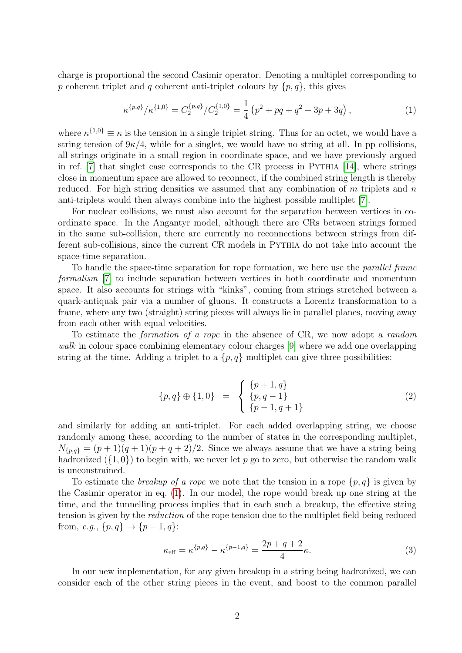charge is proportional the second Casimir operator. Denoting a multiplet corresponding to p coherent triplet and q coherent anti-triplet colours by  $\{p,q\}$ , this gives

<span id="page-2-0"></span>
$$
\kappa^{\{p,q\}}/\kappa^{\{1,0\}} = C_2^{\{p,q\}}/C_2^{\{1,0\}} = \frac{1}{4} \left( p^2 + pq + q^2 + 3p + 3q \right),\tag{1}
$$

where  $\kappa^{\{1,0\}} \equiv \kappa$  is the tension in a single triplet string. Thus for an octet, we would have a string tension of  $9\kappa/4$ , while for a singlet, we would have no string at all. In pp collisions, all strings originate in a small region in coordinate space, and we have previously argued in ref. [\[7\]](#page-8-0) that singlet case corresponds to the CR process in PYTHIA [\[14\]](#page-8-8), where strings close in momentum space are allowed to reconnect, if the combined string length is thereby reduced. For high string densities we assumed that any combination of  $m$  triplets and  $n$ anti-triplets would then always combine into the highest possible multiplet [\[7\]](#page-8-0).

For nuclear collisions, we must also account for the separation between vertices in coordinate space. In the Angantyr model, although there are CRs between strings formed in the same sub-collision, there are currently no reconnections between strings from different sub-collisions, since the current CR models in PYTHIA do not take into account the space-time separation.

To handle the space-time separation for rope formation, we here use the parallel frame formalism [\[7\]](#page-8-0) to include separation between vertices in both coordinate and momentum space. It also accounts for strings with "kinks", coming from strings stretched between a quark-antiquak pair via a number of gluons. It constructs a Lorentz transformation to a frame, where any two (straight) string pieces will always lie in parallel planes, moving away from each other with equal velocities.

To estimate the formation of a rope in the absence of CR, we now adopt a random walk in colour space combining elementary colour charges [\[9\]](#page-8-3) where we add one overlapping string at the time. Adding a triplet to a  $\{p,q\}$  multiplet can give three possibilities:

<span id="page-2-1"></span>
$$
\{p,q\} \oplus \{1,0\} = \begin{cases} \{p+1,q\} \\ \{p,q-1\} \\ \{p-1,q+1\} \end{cases}
$$
 (2)

and similarly for adding an anti-triplet. For each added overlapping string, we choose randomly among these, according to the number of states in the corresponding multiplet,  $N_{\{p,q\}} = (p+1)(q+1)(p+q+2)/2$ . Since we always assume that we have a string being hadronized  $({1, 0})$  to begin with, we never let p go to zero, but otherwise the random walk is unconstrained.

To estimate the *breakup of a rope* we note that the tension in a rope  $\{p, q\}$  is given by the Casimir operator in eq. [\(1\)](#page-2-0). In our model, the rope would break up one string at the time, and the tunnelling process implies that in each such a breakup, the effective string tension is given by the reduction of the rope tension due to the multiplet field being reduced from, e.g.,  $\{p, q\} \mapsto \{p - 1, q\}$ :

$$
\kappa_{\text{eff}} = \kappa^{\{p,q\}} - \kappa^{\{p-1,q\}} = \frac{2p+q+2}{4}\kappa.
$$
 (3)

In our new implementation, for any given breakup in a string being hadronized, we can consider each of the other string pieces in the event, and boost to the common parallel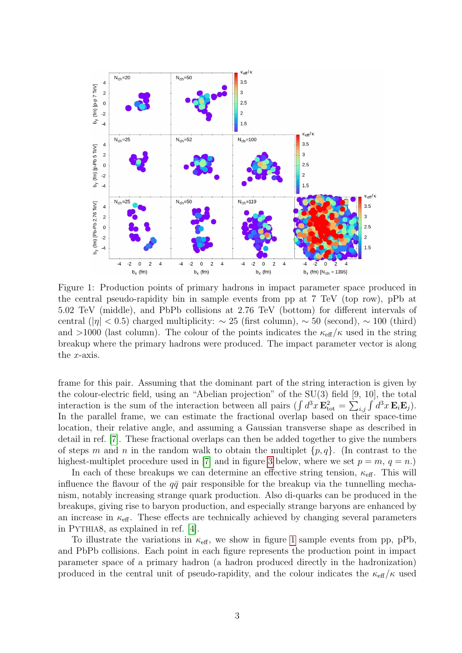<span id="page-3-0"></span>

Figure 1: Production points of primary hadrons in impact parameter space produced in the central pseudo-rapidity bin in sample events from pp at 7 TeV (top row), pPb at 5.02 TeV (middle), and PbPb collisions at 2.76 TeV (bottom) for different intervals of central ( $|\eta| < 0.5$ ) charged multiplicity:  $\sim 25$  (first column),  $\sim 50$  (second),  $\sim 100$  (third) and >1000 (last column). The colour of the points indicates the  $\kappa_{\text{eff}}/\kappa$  used in the string breakup where the primary hadrons were produced. The impact parameter vector is along the x-axis.

frame for this pair. Assuming that the dominant part of the string interaction is given by the colour-electric field, using an "Abelian projection" of the SU(3) field [9, 10], the total interaction is the sum of the interaction between all pairs  $(\int d^3x \mathbf{E}_{\text{tot}}^2 = \sum_{i,j} \int d^3x \mathbf{E}_i \mathbf{E}_j)$ . In the parallel frame, we can estimate the fractional overlap based on their space-time location, their relative angle, and assuming a Gaussian transverse shape as described in detail in ref. [\[7\]](#page-8-0). These fractional overlaps can then be added together to give the numbers of steps m and n in the random walk to obtain the multiplet  $\{p, q\}$ . (In contrast to the highest-multiplet procedure used in [\[7\]](#page-8-0) and in figure [3](#page-6-0) below, where we set  $p = m$ ,  $q = n$ .)

In each of these breakups we can determine an effective string tension,  $\kappa_{\text{eff}}$ . This will influence the flavour of the  $q\bar{q}$  pair responsible for the breakup via the tunnelling mechanism, notably increasing strange quark production. Also di-quarks can be produced in the breakups, giving rise to baryon production, and especially strange baryons are enhanced by an increase in  $\kappa_{\text{eff}}$ . These effects are technically achieved by changing several parameters in PYTHIA8, as explained in ref. [\[4\]](#page-7-2).

To illustrate the variations in  $\kappa_{\text{eff}}$ , we show in figure [1](#page-3-0) sample events from pp, pPb, and PbPb collisions. Each point in each figure represents the production point in impact parameter space of a primary hadron (a hadron produced directly in the hadronization) produced in the central unit of pseudo-rapidity, and the colour indicates the  $\kappa_{\text{eff}}/\kappa$  used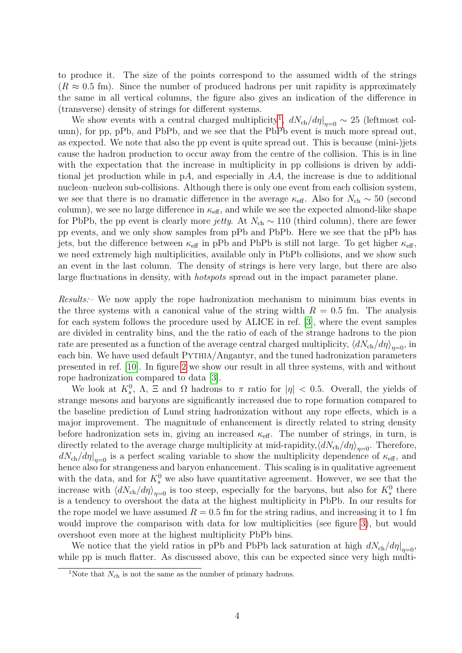to produce it. The size of the points correspond to the assumed width of the strings  $(R \approx 0.5$  fm). Since the number of produced hadrons per unit rapidity is approximately the same in all vertical columns, the figure also gives an indication of the difference in (transverse) density of strings for different systems.

We show events with a central charged multiplicity<sup>[1](#page-4-0)</sup>,  $dN_{ch}/d\eta|_{\eta=0} \sim 25$  (leftmost column), for pp, pPb, and PbPb, and we see that the PbPb event is much more spread out, as expected. We note that also the pp event is quite spread out. This is because (mini-)jets cause the hadron production to occur away from the centre of the collision. This is in line with the expectation that the increase in multiplicity in pp collisions is driven by additional jet production while in pA, and especially in AA, the increase is due to additional nucleon–nucleon sub-collisions. Although there is only one event from each collision system, we see that there is no dramatic difference in the average  $\kappa_{\text{eff}}$ . Also for  $N_{\text{ch}} \sim 50$  (second column), we see no large difference in  $\kappa_{\text{eff}}$ , and while we see the expected almond-like shape for PbPb, the pp event is clearly more *jetty*. At  $N_{ch} \sim 110$  (third column), there are fewer pp events, and we only show samples from pPb and PbPb. Here we see that the pPb has jets, but the difference between  $\kappa_{\text{eff}}$  in pPb and PbPb is still not large. To get higher  $\kappa_{\text{eff}}$ , we need extremely high multiplicities, available only in PbPb collisions, and we show such an event in the last column. The density of strings is here very large, but there are also large fluctuations in density, with *hotspots* spread out in the impact parameter plane.

Results:– We now apply the rope hadronization mechanism to minimum bias events in the three systems with a canonical value of the string width  $R = 0.5$  fm. The analysis for each system follows the procedure used by ALICE in ref. [\[3\]](#page-7-1), where the event samples are divided in centrality bins, and the the ratio of each of the strange hadrons to the pion rate are presented as a function of the average central charged multiplicity,  $\langle dN_{\text{ch}}/d\eta \rangle_{\eta=0}$ , in each bin. We have used default PYTHIA/Angantyr, and the tuned hadronization parameters presented in ref. [\[10\]](#page-8-4). In figure [2](#page-5-0) we show our result in all three systems, with and without rope hadronization compared to data [\[3\]](#page-7-1).

We look at  $K_s^0$ ,  $\Lambda$ ,  $\Xi$  and  $\Omega$  hadrons to  $\pi$  ratio for  $|\eta| < 0.5$ . Overall, the yields of strange mesons and baryons are significantly increased due to rope formation compared to the baseline prediction of Lund string hadronization without any rope effects, which is a major improvement. The magnitude of enhancement is directly related to string density before hadronization sets in, giving an increased  $\kappa_{\text{eff}}$ . The number of strings, in turn, is directly related to the average charge multiplicity at mid-rapidity, $\langle dN_{\text{ch}}/d\eta \rangle_{\eta=0}$ . Therefore,  $\frac{dN_{\text{ch}}}{d\eta}\Big|_{\eta=0}$  is a perfect scaling variable to show the multiplicity dependence of  $\kappa_{\text{eff}}$ , and hence also for strangeness and baryon enhancement. This scaling is in qualitative agreement with the data, and for  $K_s^0$  we also have quantitative agreement. However, we see that the increase with  $\langle dN_{\text{ch}}/d\eta \rangle_{\eta=0}$  is too steep, especially for the baryons, but also for  $K_s^0$  there is a tendency to overshoot the data at the highest multiplicity in PbPb. In our results for the rope model we have assumed  $R = 0.5$  fm for the string radius, and increasing it to 1 fm would improve the comparison with data for low multiplicities (see figure [3\)](#page-6-0), but would overshoot even more at the highest multiplicity PbPb bins.

We notice that the yield ratios in pPb and PbPb lack saturation at high  $dN_{ch}/d\eta|_{\eta=0}$ , while pp is much flatter. As discussed above, this can be expected since very high multi-

<span id="page-4-0"></span><sup>&</sup>lt;sup>1</sup>Note that  $N_{\text{ch}}$  is not the same as the number of primary hadrons.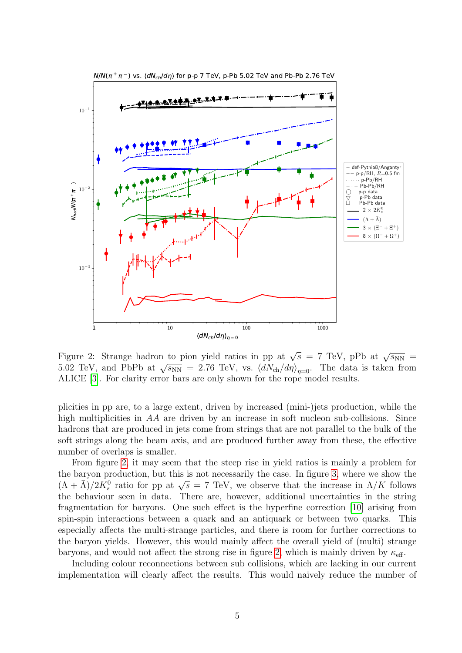<span id="page-5-0"></span>

Figure 2: Strange hadron to pion yield ratios in pp at  $\sqrt{s}$  = 7 TeV, pPb at  $\sqrt{s_{NN}}$  = 5.02 TeV, and PbPb at  $\sqrt{s_{NN}} = 2.76$  TeV, vs.  $\langle dN_{ch}/d\eta \rangle_{\eta=0}$ . The data is taken from ALICE [\[3\]](#page-7-1). For clarity error bars are only shown for the rope model results.

plicities in pp are, to a large extent, driven by increased (mini-)jets production, while the high multiplicities in AA are driven by an increase in soft nucleon sub-collisions. Since hadrons that are produced in jets come from strings that are not parallel to the bulk of the soft strings along the beam axis, and are produced further away from these, the effective number of overlaps is smaller.

From figure [2,](#page-5-0) it may seem that the steep rise in yield ratios is mainly a problem for the baryon production, but this is not necessarily the case. In figure [3,](#page-6-0) where we show the  $(\Lambda + \overline{\Lambda})/2K_s^0$  ratio for pp at  $\sqrt{s} = 7$  TeV, we observe that the increase in  $\Lambda/K$  follows the behaviour seen in data. There are, however, additional uncertainties in the string fragmentation for baryons. One such effect is the hyperfine correction [\[10\]](#page-8-4) arising from spin-spin interactions between a quark and an antiquark or between two quarks. This especially affects the multi-strange particles, and there is room for further corrections to the baryon yields. However, this would mainly affect the overall yield of (multi) strange baryons, and would not affect the strong rise in figure [2,](#page-5-0) which is mainly driven by  $\kappa_{\text{eff}}$ .

Including colour reconnections between sub collisions, which are lacking in our current implementation will clearly affect the results. This would naively reduce the number of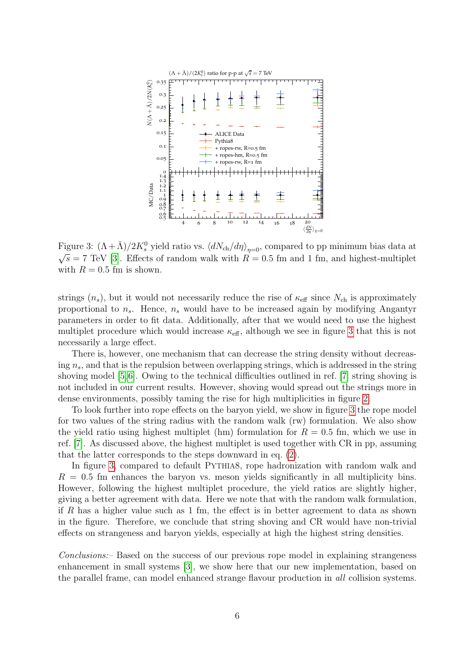<span id="page-6-0"></span>

Figure 3:  $(\Lambda + \bar{\Lambda})/2K_s^0$  yield ratio vs.  $\langle dN_{\text{ch}}/d\eta \rangle_{\eta=0}$ , compared to pp minimum bias data at  $\sqrt{s}$  = 7 TeV [\[3\]](#page-7-1). Effects of random walk with  $R = 0.5$  fm and 1 fm, and highest-multiplet with  $R = 0.5$  fm is shown.

strings  $(n_s)$ , but it would not necessarily reduce the rise of  $\kappa_{\text{eff}}$  since  $N_{\text{ch}}$  is approximately proportional to  $n_s$ . Hence,  $n_s$  would have to be increased again by modifying Angantyr parameters in order to fit data. Additionally, after that we would need to use the highest multiplet procedure which would increase  $\kappa_{\text{eff}}$ , although we see in figure [3](#page-6-0) that this is not necessarily a large effect.

There is, however, one mechanism that can decrease the string density without decreasing  $n_s$ , and that is the repulsion between overlapping strings, which is addressed in the string shoving model [\[5,](#page-7-3)[6\]](#page-8-1). Owing to the technical difficulties outlined in ref. [\[7\]](#page-8-0) string shoving is not included in our current results. However, shoving would spread out the strings more in dense environments, possibly taming the rise for high multiplicities in figure [2.](#page-5-0)

To look further into rope effects on the baryon yield, we show in figure [3](#page-6-0) the rope model for two values of the string radius with the random walk (rw) formulation. We also show the yield ratio using highest multiplet (hm) formulation for  $R = 0.5$  fm, which we use in ref. [\[7\]](#page-8-0). As discussed above, the highest multiplet is used together with CR in pp, assuming that the latter corresponds to the steps downward in eq. [\(2\)](#page-2-1).

In figure [3,](#page-6-0) compared to default PYTHIA8, rope hadronization with random walk and  $R = 0.5$  fm enhances the baryon vs. meson yields significantly in all multiplicity bins. However, following the highest multiplet procedure, the yield ratios are slightly higher, giving a better agreement with data. Here we note that with the random walk formulation, if R has a higher value such as 1 fm, the effect is in better agreement to data as shown in the figure. Therefore, we conclude that string shoving and CR would have non-trivial effects on strangeness and baryon yields, especially at high the highest string densities.

Conclusions:– Based on the success of our previous rope model in explaining strangeness enhancement in small systems [\[3\]](#page-7-1), we show here that our new implementation, based on the parallel frame, can model enhanced strange flavour production in all collision systems.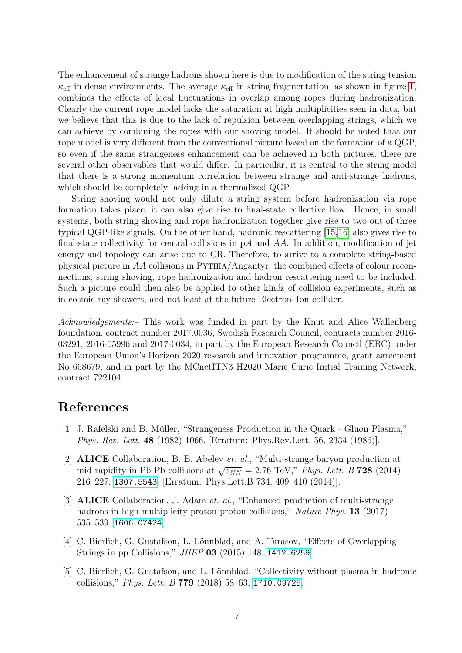The enhancement of strange hadrons shown here is due to modification of the string tension  $\kappa_{\text{eff}}$  in dense environments. The average  $\kappa_{\text{eff}}$  in string fragmentation, as shown in figure [1,](#page-3-0) combines the effects of local fluctuations in overlap among ropes during hadronization. Clearly the current rope model lacks the saturation at high multiplicities seen in data, but we believe that this is due to the lack of repulsion between overlapping strings, which we can achieve by combining the ropes with our shoving model. It should be noted that our rope model is very different from the conventional picture based on the formation of a QGP, so even if the same strangeness enhancement can be achieved in both pictures, there are several other observables that would differ. In particular, it is central to the string model that there is a strong momentum correlation between strange and anti-strange hadrons, which should be completely lacking in a thermalized QGP.

String shoving would not only dilute a string system before hadronization via rope formation takes place, it can also give rise to final-state collective flow. Hence, in small systems, both string shoving and rope hadronization together give rise to two out of three typical QGP-like signals. On the other hand, hadronic rescattering [\[15,](#page-8-9)[16\]](#page-8-10) also gives rise to final-state collectivity for central collisions in  $pA$  and  $AA$ . In addition, modification of jet energy and topology can arise due to CR. Therefore, to arrive to a complete string-based physical picture in AA collisions in PYTHIA/Angantyr, the combined effects of colour reconnections, string shoving, rope hadronization and hadron rescattering need to be included. Such a picture could then also be applied to other kinds of collision experiments, such as in cosmic ray showers, and not least at the future Electron–Ion collider.

Acknowledgements:– This work was funded in part by the Knut and Alice Wallenberg foundation, contract number 2017.0036, Swedish Research Council, contracts number 2016- 03291, 2016-05996 and 2017-0034, in part by the European Research Council (ERC) under the European Union's Horizon 2020 research and innovation programme, grant agreement No 668679, and in part by the MCnetITN3 H2020 Marie Curie Initial Training Network, contract 722104.

## References

- <span id="page-7-0"></span>[1] J. Rafelski and B. Müller, "Strangeness Production in the Quark - Gluon Plasma," Phys. Rev. Lett. 48 (1982) 1066. [Erratum: Phys.Rev.Lett. 56, 2334 (1986)].
- [2] ALICE Collaboration, B. B. Abelev et. al., "Multi-strange baryon production at mid-rapidity in Pb-Pb collisions at  $\sqrt{s_{NN}} = 2.76$  TeV," Phys. Lett. B 728 (2014) 216–227, [1307.5543](http://xxx.lanl.gov/abs/1307.5543). [Erratum: Phys.Lett.B 734, 409–410 (2014)].
- <span id="page-7-1"></span>[3] ALICE Collaboration, J. Adam et. al., "Enhanced production of multi-strange hadrons in high-multiplicity proton-proton collisions," Nature Phys. **13** (2017) 535–539, [1606.07424](http://xxx.lanl.gov/abs/1606.07424).
- <span id="page-7-2"></span>[4] C. Bierlich, G. Gustafson, L. Lönnblad, and A. Tarasov, "Effects of Overlapping Strings in pp Collisions," JHEP 03 (2015) 148, [1412.6259](http://xxx.lanl.gov/abs/1412.6259).
- <span id="page-7-3"></span>[5] C. Bierlich, G. Gustafson, and L. Lönnblad, "Collectivity without plasma in hadronic collisions," Phys. Lett. B 779 (2018) 58–63, [1710.09725](http://xxx.lanl.gov/abs/1710.09725).